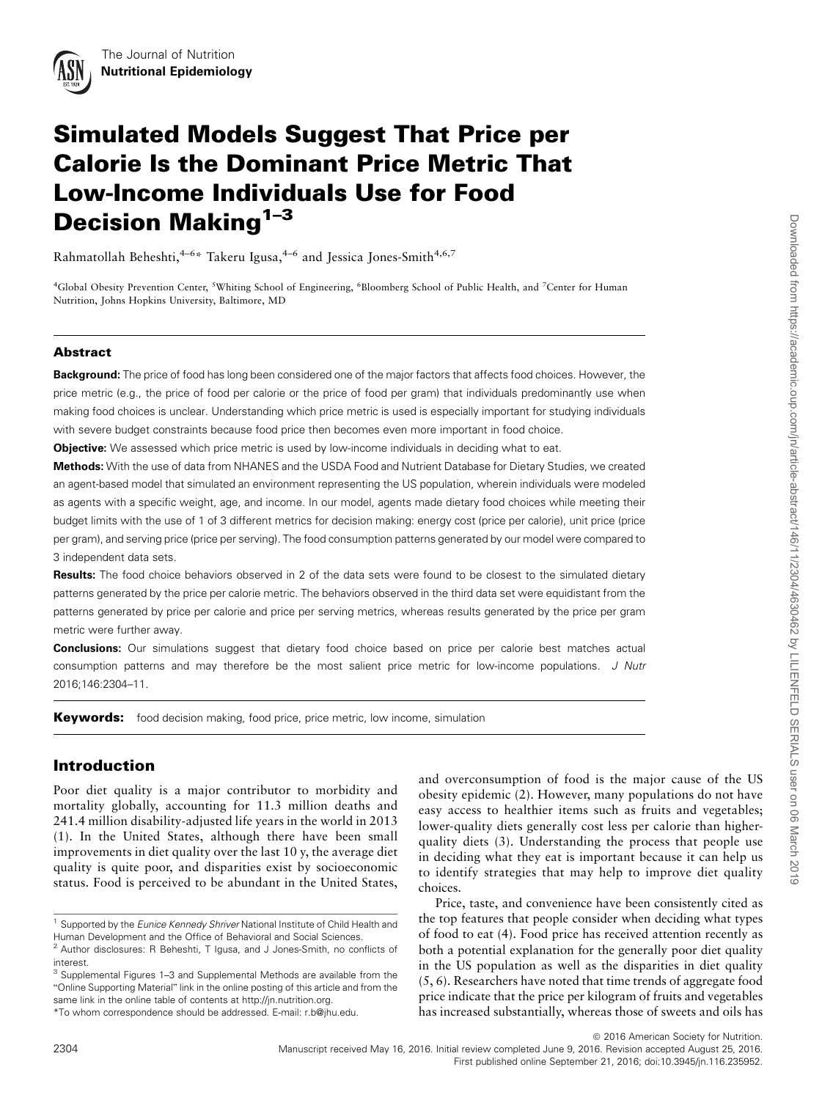# Simulated Models Suggest That Price per Calorie Is the Dominant Price Metric That Low-Income Individuals Use for Food Decision Making<sup>1-3</sup>

Rahmatollah Beheshti, $4-6*$  Takeru Igusa, $4-6$  and Jessica Jones-Smith $4,6,7$ 

<sup>4</sup>Global Obesity Prevention Center, <sup>5</sup>Whiting School of Engineering, <sup>6</sup>Bloomberg School of Public Health, and <sup>7</sup>Center for Human Nutrition, Johns Hopkins University, Baltimore, MD

#### Abstract

Background: The price of food has long been considered one of the major factors that affects food choices. However, the price metric (e.g., the price of food per calorie or the price of food per gram) that individuals predominantly use when making food choices is unclear. Understanding which price metric is used is especially important for studying individuals with severe budget constraints because food price then becomes even more important in food choice.

**Objective:** We assessed which price metric is used by low-income individuals in deciding what to eat.

Methods: With the use of data from NHANES and the USDA Food and Nutrient Database for Dietary Studies, we created an agent-based model that simulated an environment representing the US population, wherein individuals were modeled as agents with a specific weight, age, and income. In our model, agents made dietary food choices while meeting their budget limits with the use of 1 of 3 different metrics for decision making: energy cost (price per calorie), unit price (price per gram), and serving price (price per serving). The food consumption patterns generated by our model were compared to 3 independent data sets.

Results: The food choice behaviors observed in 2 of the data sets were found to be closest to the simulated dietary patterns generated by the price per calorie metric. The behaviors observed in the third data set were equidistant from the patterns generated by price per calorie and price per serving metrics, whereas results generated by the price per gram metric were further away.

**Conclusions:** Our simulations suggest that dietary food choice based on price per calorie best matches actual consumption patterns and may therefore be the most salient price metric for low-income populations. J Nutr 2016;146:2304–11.

Keywords: food decision making, food price, price metric, low income, simulation

## Introduction

Poor diet quality is a major contributor to morbidity and mortality globally, accounting for 11.3 million deaths and 241.4 million disability-adjusted life years in the world in 2013 (1). In the United States, although there have been small improvements in diet quality over the last 10 y, the average diet quality is quite poor, and disparities exist by socioeconomic status. Food is perceived to be abundant in the United States,

and overconsumption of food is the major cause of the US obesity epidemic (2). However, many populations do not have easy access to healthier items such as fruits and vegetables; lower-quality diets generally cost less per calorie than higherquality diets (3). Understanding the process that people use in deciding what they eat is important because it can help us to identify strategies that may help to improve diet quality choices.

Price, taste, and convenience have been consistently cited as the top features that people consider when deciding what types of food to eat (4). Food price has received attention recently as both a potential explanation for the generally poor diet quality in the US population as well as the disparities in diet quality (5, 6). Researchers have noted that time trends of aggregate food price indicate that the price per kilogram of fruits and vegetables has increased substantially, whereas those of sweets and oils has

 $©$  2016 American Society for Nutrition.

First published online September 21, 2016; doi:10.3945/jn.116.235952.

<sup>&</sup>lt;sup>1</sup> Supported by the Eunice Kennedy Shriver National Institute of Child Health and Human Development and the Office of Behavioral and Social Sciences.

<sup>2</sup> Author disclosures: R Beheshti, T Igusa, and J Jones-Smith, no conflicts of interest.

<sup>&</sup>lt;sup>3</sup> Supplemental Figures 1-3 and Supplemental Methods are available from the "Online Supporting Material" link in the online posting of this article and from the same link in the online table of contents at http://jn.nutrition.org.

<sup>\*</sup>To whom correspondence should be addressed. E-mail: r.b@jhu.edu.

<sup>2304</sup> Manuscript received May 16, 2016. Initial review completed June 9, 2016. Revision accepted August 25, 2016.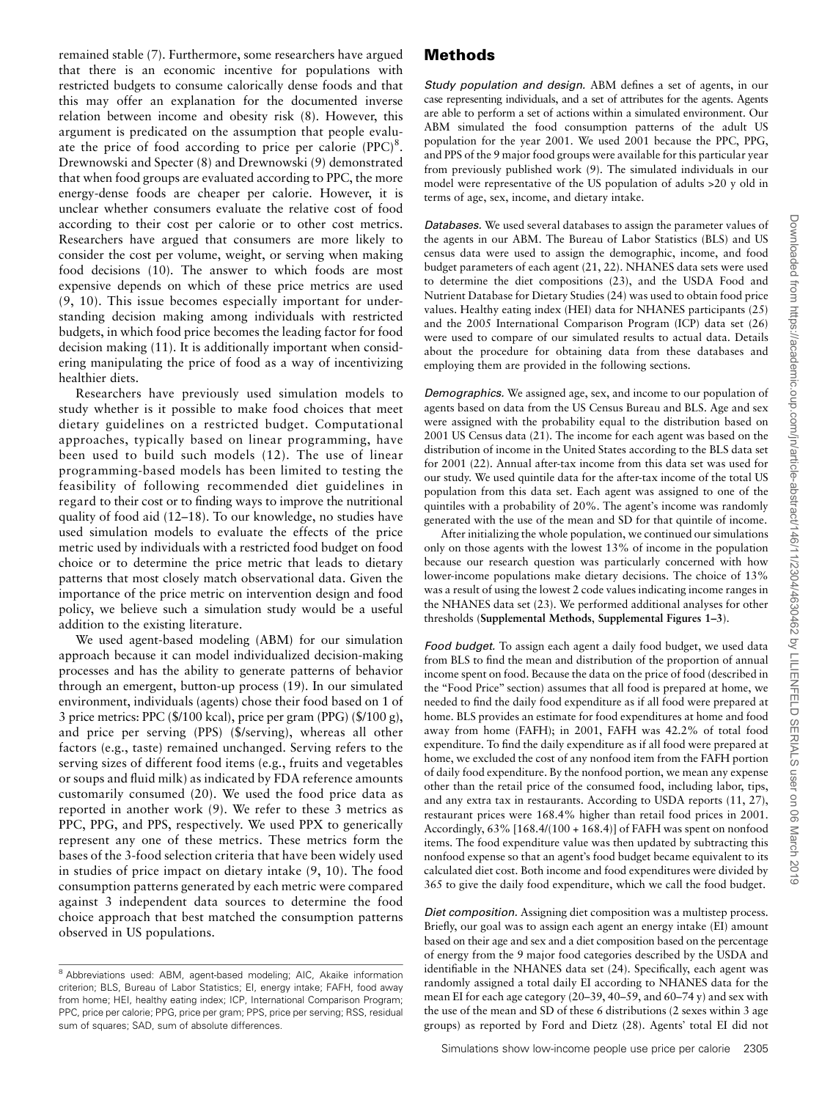remained stable (7). Furthermore, some researchers have argued that there is an economic incentive for populations with restricted budgets to consume calorically dense foods and that this may offer an explanation for the documented inverse relation between income and obesity risk (8). However, this argument is predicated on the assumption that people evaluate the price of food according to price per calorie (PPC)<sup>8</sup>. Drewnowski and Specter (8) and Drewnowski (9) demonstrated that when food groups are evaluated according to PPC, the more energy-dense foods are cheaper per calorie. However, it is unclear whether consumers evaluate the relative cost of food according to their cost per calorie or to other cost metrics. Researchers have argued that consumers are more likely to consider the cost per volume, weight, or serving when making food decisions (10). The answer to which foods are most expensive depends on which of these price metrics are used (9, 10). This issue becomes especially important for understanding decision making among individuals with restricted budgets, in which food price becomes the leading factor for food decision making (11). It is additionally important when considering manipulating the price of food as a way of incentivizing healthier diets.

Researchers have previously used simulation models to study whether is it possible to make food choices that meet dietary guidelines on a restricted budget. Computational approaches, typically based on linear programming, have been used to build such models (12). The use of linear programming-based models has been limited to testing the feasibility of following recommended diet guidelines in regard to their cost or to finding ways to improve the nutritional quality of food aid (12–18). To our knowledge, no studies have used simulation models to evaluate the effects of the price metric used by individuals with a restricted food budget on food choice or to determine the price metric that leads to dietary patterns that most closely match observational data. Given the importance of the price metric on intervention design and food policy, we believe such a simulation study would be a useful addition to the existing literature.

We used agent-based modeling (ABM) for our simulation approach because it can model individualized decision-making processes and has the ability to generate patterns of behavior through an emergent, button-up process (19). In our simulated environment, individuals (agents) chose their food based on 1 of 3 price metrics: PPC (\$/100 kcal), price per gram (PPG) (\$/100 g), and price per serving (PPS) (\$/serving), whereas all other factors (e.g., taste) remained unchanged. Serving refers to the serving sizes of different food items (e.g., fruits and vegetables or soups and fluid milk) as indicated by FDA reference amounts customarily consumed (20). We used the food price data as reported in another work (9). We refer to these 3 metrics as PPC, PPG, and PPS, respectively. We used PPX to generically represent any one of these metrics. These metrics form the bases of the 3-food selection criteria that have been widely used in studies of price impact on dietary intake (9, 10). The food consumption patterns generated by each metric were compared against 3 independent data sources to determine the food choice approach that best matched the consumption patterns observed in US populations.

# Methods

Study population and design. ABM defines a set of agents, in our case representing individuals, and a set of attributes for the agents. Agents are able to perform a set of actions within a simulated environment. Our ABM simulated the food consumption patterns of the adult US population for the year 2001. We used 2001 because the PPC, PPG, and PPS of the 9 major food groups were available for this particular year from previously published work (9). The simulated individuals in our model were representative of the US population of adults >20 y old in terms of age, sex, income, and dietary intake.

Databases. We used several databases to assign the parameter values of the agents in our ABM. The Bureau of Labor Statistics (BLS) and US census data were used to assign the demographic, income, and food budget parameters of each agent (21, 22). NHANES data sets were used to determine the diet compositions (23), and the USDA Food and Nutrient Database for Dietary Studies (24) was used to obtain food price values. Healthy eating index (HEI) data for NHANES participants (25) and the 2005 International Comparison Program (ICP) data set (26) were used to compare of our simulated results to actual data. Details about the procedure for obtaining data from these databases and employing them are provided in the following sections.

Demographics. We assigned age, sex, and income to our population of agents based on data from the US Census Bureau and BLS. Age and sex were assigned with the probability equal to the distribution based on 2001 US Census data (21). The income for each agent was based on the distribution of income in the United States according to the BLS data set for 2001 (22). Annual after-tax income from this data set was used for our study. We used quintile data for the after-tax income of the total US population from this data set. Each agent was assigned to one of the quintiles with a probability of 20%. The agent's income was randomly generated with the use of the mean and SD for that quintile of income.

After initializing the whole population, we continued our simulations only on those agents with the lowest 13% of income in the population because our research question was particularly concerned with how lower-income populations make dietary decisions. The choice of 13% was a result of using the lowest 2 code values indicating income ranges in the NHANES data set (23). We performed additional analyses for other thresholds (Supplemental Methods, Supplemental Figures 1–3).

Food budget. To assign each agent a daily food budget, we used data from BLS to find the mean and distribution of the proportion of annual income spent on food. Because the data on the price of food (described in the "Food Price" section) assumes that all food is prepared at home, we needed to find the daily food expenditure as if all food were prepared at home. BLS provides an estimate for food expenditures at home and food away from home (FAFH); in 2001, FAFH was 42.2% of total food expenditure. To find the daily expenditure as if all food were prepared at home, we excluded the cost of any nonfood item from the FAFH portion of daily food expenditure. By the nonfood portion, we mean any expense other than the retail price of the consumed food, including labor, tips, and any extra tax in restaurants. According to USDA reports (11, 27), restaurant prices were 168.4% higher than retail food prices in 2001. Accordingly,  $63\%$  [168.4/(100 + 168.4)] of FAFH was spent on nonfood items. The food expenditure value was then updated by subtracting this nonfood expense so that an agent's food budget became equivalent to its calculated diet cost. Both income and food expenditures were divided by 365 to give the daily food expenditure, which we call the food budget.

Diet composition. Assigning diet composition was a multistep process. Briefly, our goal was to assign each agent an energy intake (EI) amount based on their age and sex and a diet composition based on the percentage of energy from the 9 major food categories described by the USDA and identifiable in the NHANES data set (24). Specifically, each agent was randomly assigned a total daily EI according to NHANES data for the mean EI for each age category (20–39, 40–59, and 60–74 y) and sex with the use of the mean and SD of these 6 distributions (2 sexes within 3 age groups) as reported by Ford and Dietz (28). Agents' total EI did not

<sup>&</sup>lt;sup>8</sup> Abbreviations used: ABM, agent-based modeling; AIC, Akaike information criterion; BLS, Bureau of Labor Statistics; EI, energy intake; FAFH, food away from home; HEI, healthy eating index; ICP, International Comparison Program; PPC, price per calorie; PPG, price per gram; PPS, price per serving; RSS, residual sum of squares; SAD, sum of absolute differences.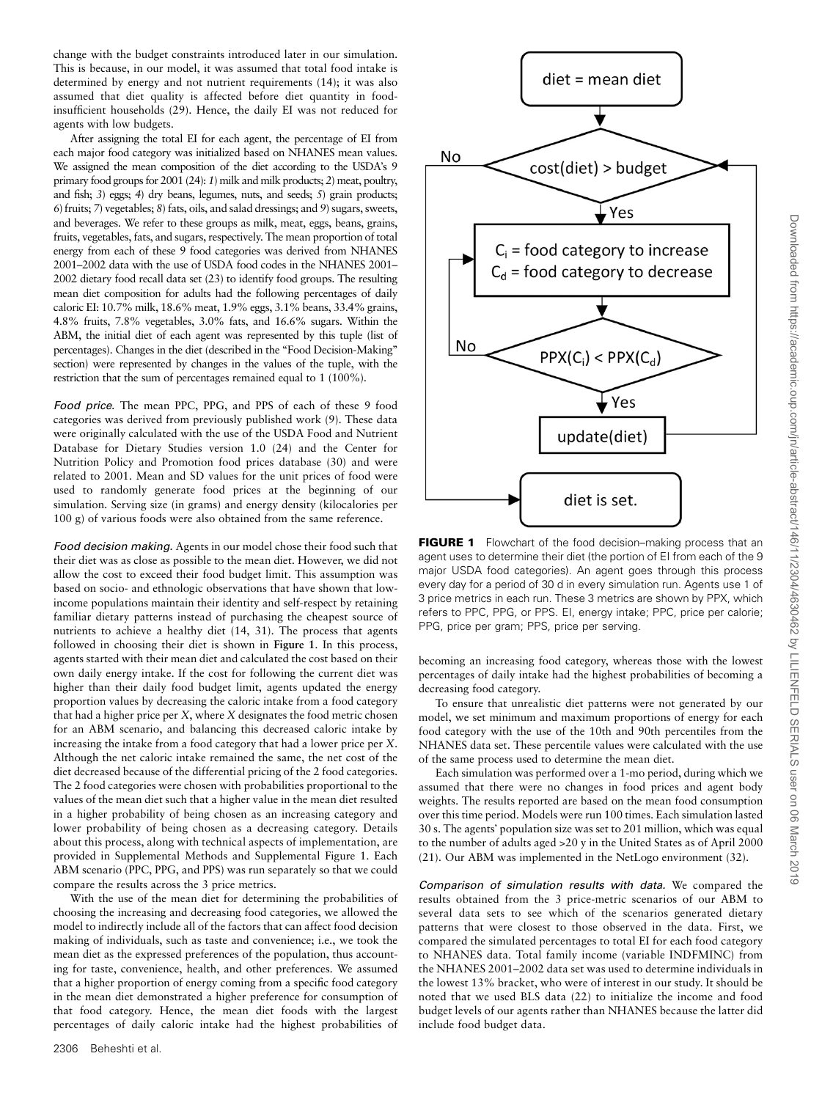change with the budget constraints introduced later in our simulation. This is because, in our model, it was assumed that total food intake is determined by energy and not nutrient requirements (14); it was also assumed that diet quality is affected before diet quantity in foodinsufficient households (29). Hence, the daily EI was not reduced for agents with low budgets.

After assigning the total EI for each agent, the percentage of EI from each major food category was initialized based on NHANES mean values. We assigned the mean composition of the diet according to the USDA's 9 primary food groups for 2001 (24): 1) milk and milk products; 2) meat, poultry, and fish; 3) eggs; 4) dry beans, legumes, nuts, and seeds; 5) grain products; 6) fruits; 7) vegetables; 8) fats, oils, and salad dressings; and 9) sugars, sweets, and beverages. We refer to these groups as milk, meat, eggs, beans, grains, fruits, vegetables, fats, and sugars, respectively. The mean proportion of total energy from each of these 9 food categories was derived from NHANES 2001–2002 data with the use of USDA food codes in the NHANES 2001– 2002 dietary food recall data set (23) to identify food groups. The resulting mean diet composition for adults had the following percentages of daily caloric EI: 10.7% milk, 18.6% meat, 1.9% eggs, 3.1% beans, 33.4% grains, 4.8% fruits, 7.8% vegetables, 3.0% fats, and 16.6% sugars. Within the ABM, the initial diet of each agent was represented by this tuple (list of percentages). Changes in the diet (described in the "Food Decision-Making" section) were represented by changes in the values of the tuple, with the restriction that the sum of percentages remained equal to 1 (100%).

Food price. The mean PPC, PPG, and PPS of each of these 9 food categories was derived from previously published work (9). These data were originally calculated with the use of the USDA Food and Nutrient Database for Dietary Studies version 1.0 (24) and the Center for Nutrition Policy and Promotion food prices database (30) and were related to 2001. Mean and SD values for the unit prices of food were used to randomly generate food prices at the beginning of our simulation. Serving size (in grams) and energy density (kilocalories per 100 g) of various foods were also obtained from the same reference.

Food decision making. Agents in our model chose their food such that their diet was as close as possible to the mean diet. However, we did not allow the cost to exceed their food budget limit. This assumption was based on socio- and ethnologic observations that have shown that lowincome populations maintain their identity and self-respect by retaining familiar dietary patterns instead of purchasing the cheapest source of nutrients to achieve a healthy diet (14, 31). The process that agents followed in choosing their diet is shown in Figure 1. In this process, agents started with their mean diet and calculated the cost based on their own daily energy intake. If the cost for following the current diet was higher than their daily food budget limit, agents updated the energy proportion values by decreasing the caloric intake from a food category that had a higher price per X, where X designates the food metric chosen for an ABM scenario, and balancing this decreased caloric intake by increasing the intake from a food category that had a lower price per X. Although the net caloric intake remained the same, the net cost of the diet decreased because of the differential pricing of the 2 food categories. The 2 food categories were chosen with probabilities proportional to the values of the mean diet such that a higher value in the mean diet resulted in a higher probability of being chosen as an increasing category and lower probability of being chosen as a decreasing category. Details about this process, along with technical aspects of implementation, are provided in Supplemental Methods and Supplemental Figure 1. Each ABM scenario (PPC, PPG, and PPS) was run separately so that we could compare the results across the 3 price metrics.

With the use of the mean diet for determining the probabilities of choosing the increasing and decreasing food categories, we allowed the model to indirectly include all of the factors that can affect food decision making of individuals, such as taste and convenience; i.e., we took the mean diet as the expressed preferences of the population, thus accounting for taste, convenience, health, and other preferences. We assumed that a higher proportion of energy coming from a specific food category in the mean diet demonstrated a higher preference for consumption of that food category. Hence, the mean diet foods with the largest percentages of daily caloric intake had the highest probabilities of



FIGURE 1 Flowchart of the food decision-making process that an agent uses to determine their diet (the portion of EI from each of the 9 major USDA food categories). An agent goes through this process every day for a period of 30 d in every simulation run. Agents use 1 of 3 price metrics in each run. These 3 metrics are shown by PPX, which refers to PPC, PPG, or PPS. EI, energy intake; PPC, price per calorie; PPG, price per gram; PPS, price per serving.

becoming an increasing food category, whereas those with the lowest percentages of daily intake had the highest probabilities of becoming a decreasing food category.

To ensure that unrealistic diet patterns were not generated by our model, we set minimum and maximum proportions of energy for each food category with the use of the 10th and 90th percentiles from the NHANES data set. These percentile values were calculated with the use of the same process used to determine the mean diet.

Each simulation was performed over a 1-mo period, during which we assumed that there were no changes in food prices and agent body weights. The results reported are based on the mean food consumption over this time period. Models were run 100 times. Each simulation lasted 30 s. The agents' population size was set to 201 million, which was equal to the number of adults aged >20 y in the United States as of April 2000 (21). Our ABM was implemented in the NetLogo environment (32).

Comparison of simulation results with data. We compared the results obtained from the 3 price-metric scenarios of our ABM to several data sets to see which of the scenarios generated dietary patterns that were closest to those observed in the data. First, we compared the simulated percentages to total EI for each food category to NHANES data. Total family income (variable INDFMINC) from the NHANES 2001–2002 data set was used to determine individuals in the lowest 13% bracket, who were of interest in our study. It should be noted that we used BLS data (22) to initialize the income and food budget levels of our agents rather than NHANES because the latter did include food budget data.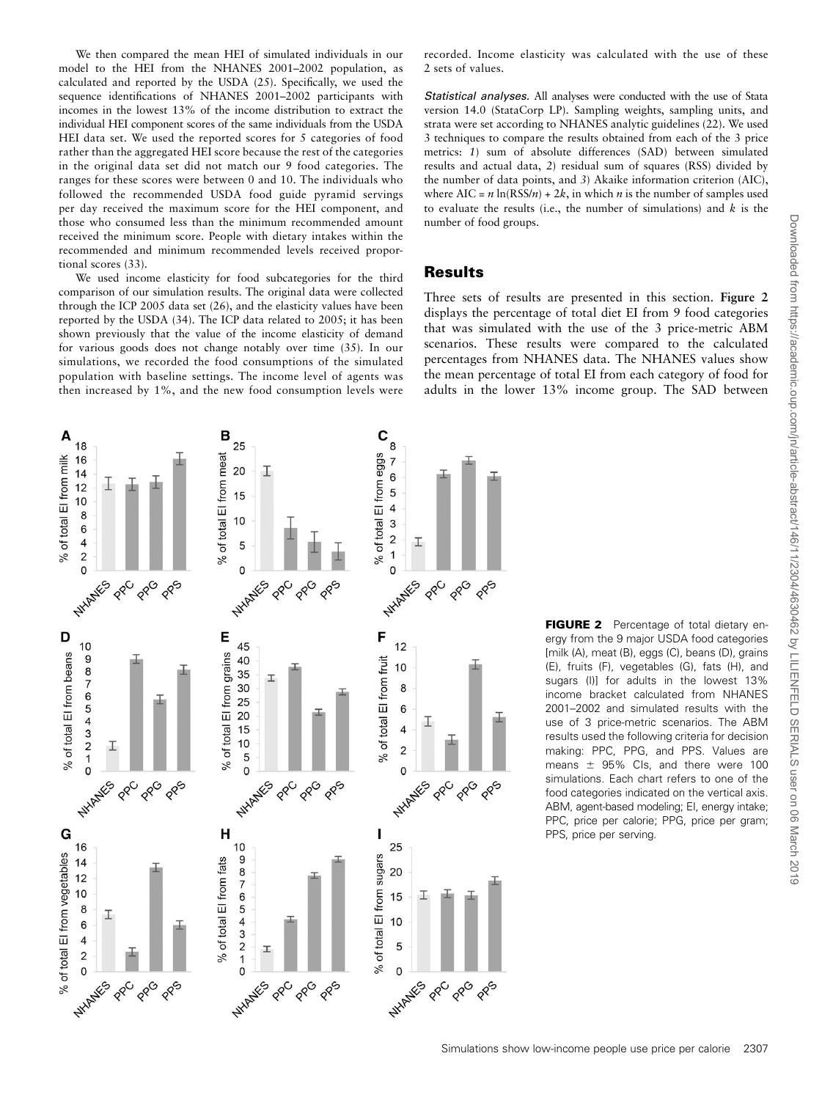We then compared the mean HEI of simulated individuals in our model to the HEI from the NHANES 2001–2002 population, as calculated and reported by the USDA (25). Specifically, we used the sequence identifications of NHANES 2001–2002 participants with incomes in the lowest 13% of the income distribution to extract the individual HEI component scores of the same individuals from the USDA HEI data set. We used the reported scores for 5 categories of food rather than the aggregated HEI score because the rest of the categories in the original data set did not match our 9 food categories. The ranges for these scores were between 0 and 10. The individuals who followed the recommended USDA food guide pyramid servings per day received the maximum score for the HEI component, and those who consumed less than the minimum recommended amount received the minimum score. People with dietary intakes within the recommended and minimum recommended levels received proportional scores (33).

We used income elasticity for food subcategories for the third comparison of our simulation results. The original data were collected through the ICP 2005 data set (26), and the elasticity values have been reported by the USDA (34). The ICP data related to 2005; it has been shown previously that the value of the income elasticity of demand for various goods does not change notably over time (35). In our simulations, we recorded the food consumptions of the simulated population with baseline settings. The income level of agents was then increased by 1%, and the new food consumption levels were recorded. Income elasticity was calculated with the use of these 2 sets of values.

Statistical analyses. All analyses were conducted with the use of Stata version 14.0 (StataCorp LP). Sampling weights, sampling units, and strata were set according to NHANES analytic guidelines (22). We used 3 techniques to compare the results obtained from each of the 3 price metrics: 1) sum of absolute differences (SAD) between simulated results and actual data, 2) residual sum of squares (RSS) divided by the number of data points, and 3) Akaike information criterion (AIC), where AIC =  $n \ln(\text{RSS}/n) + 2k$ , in which  $n$  is the number of samples used to evaluate the results (i.e., the number of simulations) and  $k$  is the number of food groups.

### Results

Three sets of results are presented in this section. Figure 2 displays the percentage of total diet EI from 9 food categories that was simulated with the use of the 3 price-metric ABM scenarios. These results were compared to the calculated percentages from NHANES data. The NHANES values show the mean percentage of total EI from each category of food for adults in the lower 13% income group. The SAD between



FIGURE 2 Percentage of total dietary energy from the 9 major USDA food categories [milk (A), meat (B), eggs (C), beans (D), grains (E), fruits (F), vegetables (G), fats (H), and sugars (I)] for adults in the lowest 13% income bracket calculated from NHANES 2001–2002 and simulated results with the use of 3 price-metric scenarios. The ABM results used the following criteria for decision making: PPC, PPG, and PPS. Values are means  $\pm$  95% Cls, and there were 100 simulations. Each chart refers to one of the food categories indicated on the vertical axis. ABM, agent-based modeling; EI, energy intake; PPC, price per calorie; PPG, price per gram; PPS, price per serving.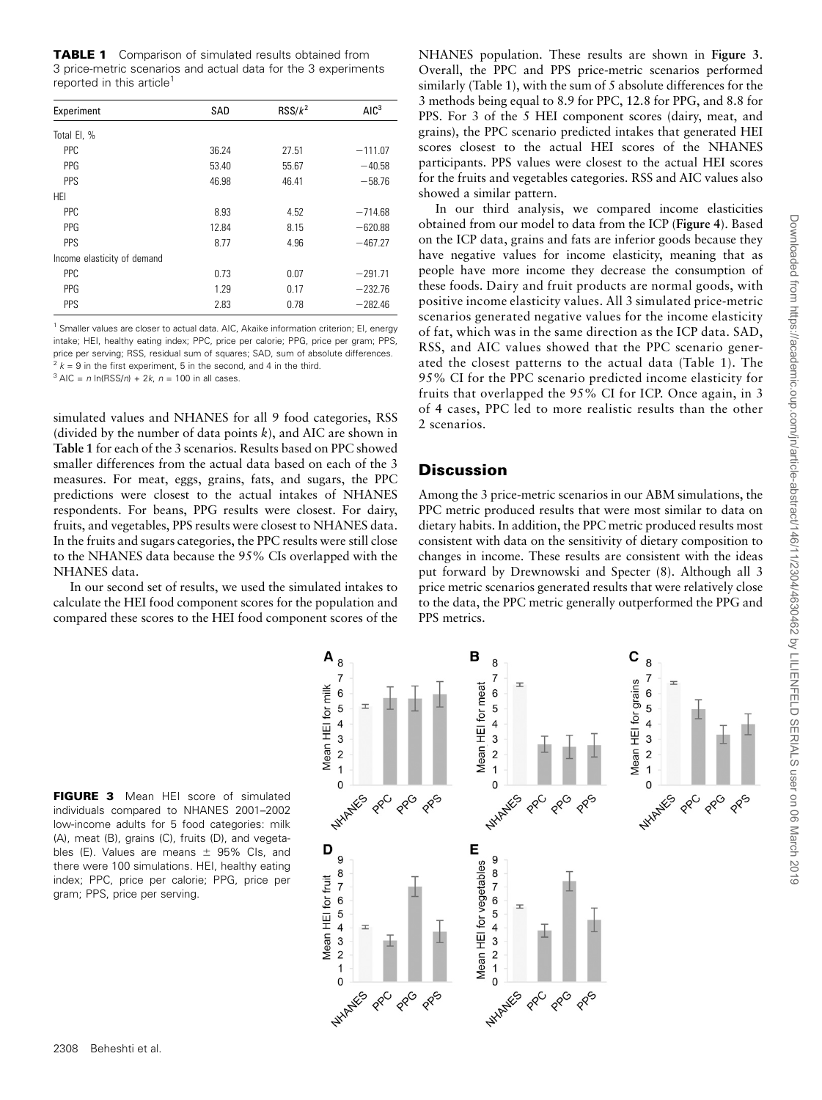**TABLE 1** Comparison of simulated results obtained from 3 price-metric scenarios and actual data for the 3 experiments reported in this article<sup>1</sup>

| Experiment                  | SAD   | RSS/k <sup>2</sup> | AlC <sup>3</sup> |
|-----------------------------|-------|--------------------|------------------|
| Total El, %                 |       |                    |                  |
| PPC                         | 36.24 | 27.51              | $-111.07$        |
| PPG                         | 53.40 | 55.67              | $-40.58$         |
| PPS                         | 46.98 | 46.41              | $-58.76$         |
| HFI                         |       |                    |                  |
| PPC                         | 8.93  | 4.52               | $-714.68$        |
| PPG                         | 12.84 | 8.15               | $-620.88$        |
| PPS                         | 8.77  | 4.96               | $-467.27$        |
| Income elasticity of demand |       |                    |                  |
| PPC                         | 0.73  | 0.07               | $-291.71$        |
| PPG                         | 1.29  | 0.17               | $-232.76$        |
| PPS                         | 2.83  | 0.78               | $-282.46$        |

<sup>1</sup> Smaller values are closer to actual data. AIC, Akaike information criterion; EI, energy intake; HEI, healthy eating index; PPC, price per calorie; PPG, price per gram; PPS, price per serving; RSS, residual sum of squares; SAD, sum of absolute differences.  $2 k = 9$  in the first experiment, 5 in the second, and 4 in the third.

 $3$  AIC = n ln(RSS/n) + 2k, n = 100 in all cases.

simulated values and NHANES for all 9 food categories, RSS (divided by the number of data points  $k$ ), and AIC are shown in Table 1 for each of the 3 scenarios. Results based on PPC showed smaller differences from the actual data based on each of the 3 measures. For meat, eggs, grains, fats, and sugars, the PPC predictions were closest to the actual intakes of NHANES respondents. For beans, PPG results were closest. For dairy, fruits, and vegetables, PPS results were closest to NHANES data. In the fruits and sugars categories, the PPC results were still close to the NHANES data because the 95% CIs overlapped with the NHANES data.

In our second set of results, we used the simulated intakes to calculate the HEI food component scores for the population and compared these scores to the HEI food component scores of the

NHANES population. These results are shown in Figure 3. Overall, the PPC and PPS price-metric scenarios performed similarly (Table 1), with the sum of 5 absolute differences for the 3 methods being equal to 8.9 for PPC, 12.8 for PPG, and 8.8 for PPS. For 3 of the 5 HEI component scores (dairy, meat, and grains), the PPC scenario predicted intakes that generated HEI scores closest to the actual HEI scores of the NHANES participants. PPS values were closest to the actual HEI scores for the fruits and vegetables categories. RSS and AIC values also showed a similar pattern.

In our third analysis, we compared income elasticities obtained from our model to data from the ICP (Figure 4). Based on the ICP data, grains and fats are inferior goods because they have negative values for income elasticity, meaning that as people have more income they decrease the consumption of these foods. Dairy and fruit products are normal goods, with positive income elasticity values. All 3 simulated price-metric scenarios generated negative values for the income elasticity of fat, which was in the same direction as the ICP data. SAD, RSS, and AIC values showed that the PPC scenario generated the closest patterns to the actual data (Table 1). The 95% CI for the PPC scenario predicted income elasticity for fruits that overlapped the 95% CI for ICP. Once again, in 3 of 4 cases, PPC led to more realistic results than the other 2 scenarios.

## **Discussion**

Among the 3 price-metric scenarios in our ABM simulations, the PPC metric produced results that were most similar to data on dietary habits. In addition, the PPC metric produced results most consistent with data on the sensitivity of dietary composition to changes in income. These results are consistent with the ideas put forward by Drewnowski and Specter (8). Although all 3 price metric scenarios generated results that were relatively close to the data, the PPC metric generally outperformed the PPG and PPS metrics.

Downloaded from https://academic.oup.com/jn/article-abstract/146/11/2304/4630462 by LILIENFELD SERIALS user on 06 March 2019 Downloaded from https://academic.oup.com/jn/article-abstract/146/11/2304/4630462 by LILIENFELD SERIALS user on 06 March 2019

FIGURE 3 Mean HEI score of simulated individuals compared to NHANES 2001–2002 low-income adults for 5 food categories: milk (A), meat (B), grains (C), fruits (D), and vegetables (E). Values are means  $\pm$  95% CIs, and there were 100 simulations. HEI, healthy eating index; PPC, price per calorie; PPG, price per gram; PPS, price per serving.

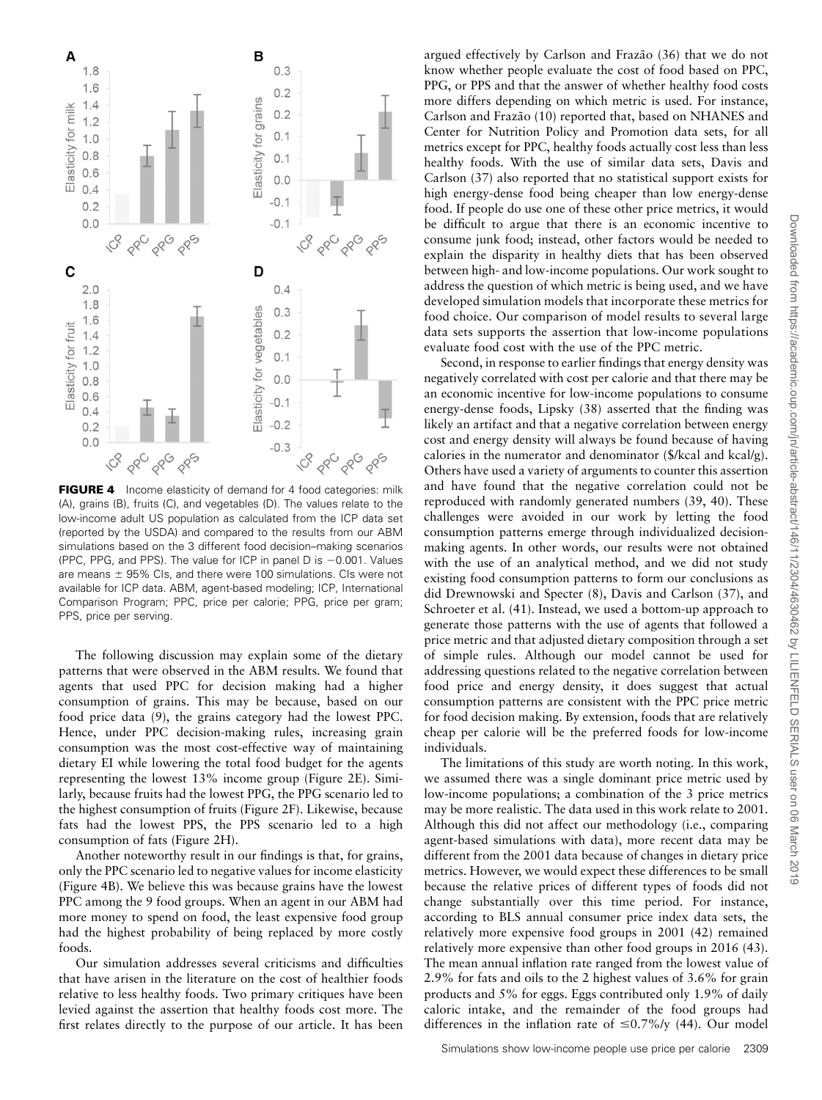

**FIGURE 4** Income elasticity of demand for 4 food categories: milk (A), grains (B), fruits (C), and vegetables (D). The values relate to the low-income adult US population as calculated from the ICP data set (reported by the USDA) and compared to the results from our ABM simulations based on the 3 different food decision–making scenarios (PPC, PPG, and PPS). The value for ICP in panel  $D$  is  $-0.001$ . Values are means  $\pm$  95% CIs, and there were 100 simulations. CIs were not available for ICP data. ABM, agent-based modeling; ICP, International Comparison Program; PPC, price per calorie; PPG, price per gram; PPS, price per serving.

The following discussion may explain some of the dietary patterns that were observed in the ABM results. We found that agents that used PPC for decision making had a higher consumption of grains. This may be because, based on our food price data (9), the grains category had the lowest PPC. Hence, under PPC decision-making rules, increasing grain consumption was the most cost-effective way of maintaining dietary EI while lowering the total food budget for the agents representing the lowest 13% income group (Figure 2E). Similarly, because fruits had the lowest PPG, the PPG scenario led to the highest consumption of fruits (Figure 2F). Likewise, because fats had the lowest PPS, the PPS scenario led to a high consumption of fats (Figure 2H).

Another noteworthy result in our findings is that, for grains, only the PPC scenario led to negative values for income elasticity (Figure 4B). We believe this was because grains have the lowest PPC among the 9 food groups. When an agent in our ABM had more money to spend on food, the least expensive food group had the highest probability of being replaced by more costly foods.

Our simulation addresses several criticisms and difficulties that have arisen in the literature on the cost of healthier foods relative to less healthy foods. Two primary critiques have been levied against the assertion that healthy foods cost more. The first relates directly to the purpose of our article. It has been

argued effectively by Carlson and Frazão (36) that we do not know whether people evaluate the cost of food based on PPC, PPG, or PPS and that the answer of whether healthy food costs more differs depending on which metric is used. For instance, Carlson and Frazão (10) reported that, based on NHANES and Center for Nutrition Policy and Promotion data sets, for all metrics except for PPC, healthy foods actually cost less than less healthy foods. With the use of similar data sets, Davis and Carlson (37) also reported that no statistical support exists for high energy-dense food being cheaper than low energy-dense food. If people do use one of these other price metrics, it would be difficult to argue that there is an economic incentive to consume junk food; instead, other factors would be needed to explain the disparity in healthy diets that has been observed between high- and low-income populations. Our work sought to address the question of which metric is being used, and we have developed simulation models that incorporate these metrics for food choice. Our comparison of model results to several large data sets supports the assertion that low-income populations evaluate food cost with the use of the PPC metric.

Second, in response to earlier findings that energy density was negatively correlated with cost per calorie and that there may be an economic incentive for low-income populations to consume energy-dense foods, Lipsky (38) asserted that the finding was likely an artifact and that a negative correlation between energy cost and energy density will always be found because of having calories in the numerator and denominator (\$/kcal and kcal/g). Others have used a variety of arguments to counter this assertion and have found that the negative correlation could not be reproduced with randomly generated numbers (39, 40). These challenges were avoided in our work by letting the food consumption patterns emerge through individualized decisionmaking agents. In other words, our results were not obtained with the use of an analytical method, and we did not study existing food consumption patterns to form our conclusions as did Drewnowski and Specter (8), Davis and Carlson (37), and Schroeter et al. (41). Instead, we used a bottom-up approach to generate those patterns with the use of agents that followed a price metric and that adjusted dietary composition through a set of simple rules. Although our model cannot be used for addressing questions related to the negative correlation between food price and energy density, it does suggest that actual consumption patterns are consistent with the PPC price metric for food decision making. By extension, foods that are relatively cheap per calorie will be the preferred foods for low-income individuals.

The limitations of this study are worth noting. In this work, we assumed there was a single dominant price metric used by low-income populations; a combination of the 3 price metrics may be more realistic. The data used in this work relate to 2001. Although this did not affect our methodology (i.e., comparing agent-based simulations with data), more recent data may be different from the 2001 data because of changes in dietary price metrics. However, we would expect these differences to be small because the relative prices of different types of foods did not change substantially over this time period. For instance, according to BLS annual consumer price index data sets, the relatively more expensive food groups in 2001 (42) remained relatively more expensive than other food groups in 2016 (43). The mean annual inflation rate ranged from the lowest value of 2.9% for fats and oils to the 2 highest values of 3.6% for grain products and 5% for eggs. Eggs contributed only 1.9% of daily caloric intake, and the remainder of the food groups had differences in the inflation rate of  $\leq 0.7\%$ /y (44). Our model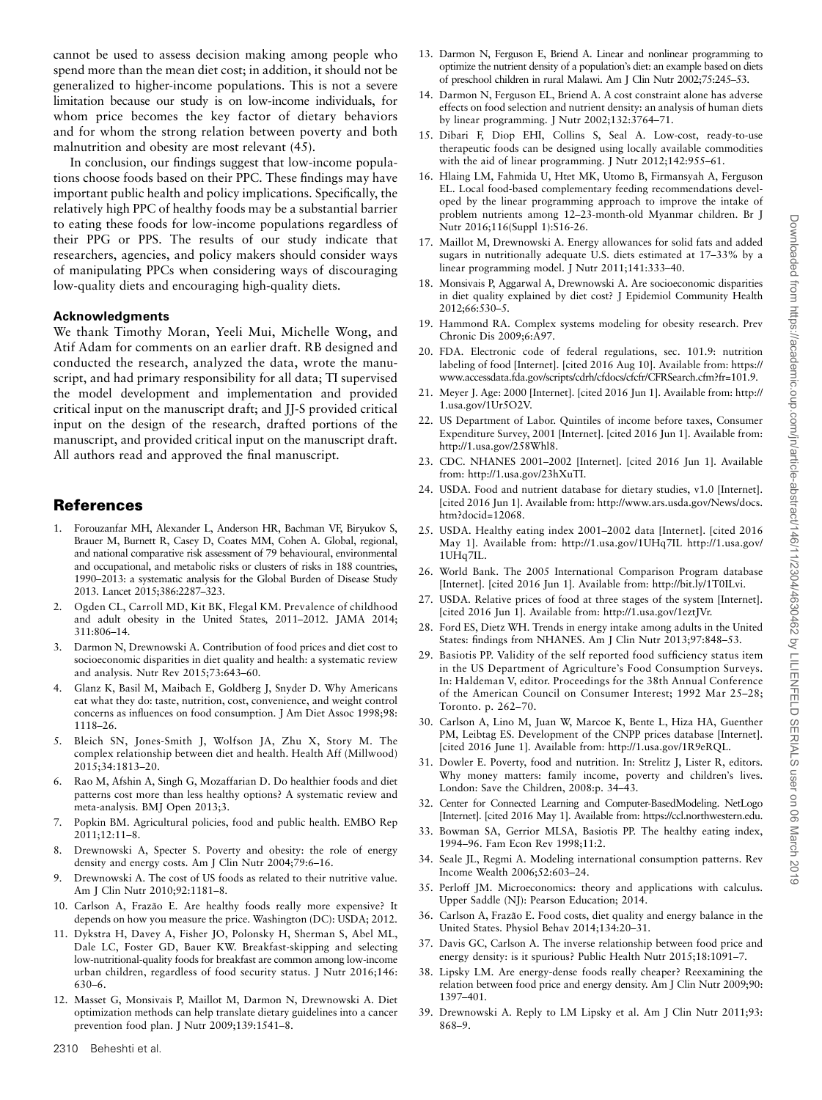cannot be used to assess decision making among people who spend more than the mean diet cost; in addition, it should not be generalized to higher-income populations. This is not a severe limitation because our study is on low-income individuals, for whom price becomes the key factor of dietary behaviors and for whom the strong relation between poverty and both malnutrition and obesity are most relevant (45).

In conclusion, our findings suggest that low-income populations choose foods based on their PPC. These findings may have important public health and policy implications. Specifically, the relatively high PPC of healthy foods may be a substantial barrier to eating these foods for low-income populations regardless of their PPG or PPS. The results of our study indicate that researchers, agencies, and policy makers should consider ways of manipulating PPCs when considering ways of discouraging low-quality diets and encouraging high-quality diets.

#### Acknowledgments

We thank Timothy Moran, Yeeli Mui, Michelle Wong, and Atif Adam for comments on an earlier draft. RB designed and conducted the research, analyzed the data, wrote the manuscript, and had primary responsibility for all data; TI supervised the model development and implementation and provided critical input on the manuscript draft; and JJ-S provided critical input on the design of the research, drafted portions of the manuscript, and provided critical input on the manuscript draft. All authors read and approved the final manuscript.

### References

- 1. Forouzanfar MH, Alexander L, Anderson HR, Bachman VF, Biryukov S, Brauer M, Burnett R, Casey D, Coates MM, Cohen A. Global, regional, and national comparative risk assessment of 79 behavioural, environmental and occupational, and metabolic risks or clusters of risks in 188 countries, 1990–2013: a systematic analysis for the Global Burden of Disease Study 2013. Lancet 2015;386:2287–323.
- 2. Ogden CL, Carroll MD, Kit BK, Flegal KM. Prevalence of childhood and adult obesity in the United States, 2011–2012. JAMA 2014; 311:806–14.
- 3. Darmon N, Drewnowski A. Contribution of food prices and diet cost to socioeconomic disparities in diet quality and health: a systematic review and analysis. Nutr Rev 2015;73:643–60.
- 4. Glanz K, Basil M, Maibach E, Goldberg J, Snyder D. Why Americans eat what they do: taste, nutrition, cost, convenience, and weight control concerns as influences on food consumption. J Am Diet Assoc 1998;98: 1118–26.
- 5. Bleich SN, Jones-Smith J, Wolfson JA, Zhu X, Story M. The complex relationship between diet and health. Health Aff (Millwood) 2015;34:1813–20.
- 6. Rao M, Afshin A, Singh G, Mozaffarian D. Do healthier foods and diet patterns cost more than less healthy options? A systematic review and meta-analysis. BMJ Open 2013;3.
- 7. Popkin BM. Agricultural policies, food and public health. EMBO Rep 2011;12:11–8.
- 8. Drewnowski A, Specter S. Poverty and obesity: the role of energy density and energy costs. Am J Clin Nutr 2004;79:6–16.
- 9. Drewnowski A. The cost of US foods as related to their nutritive value. Am J Clin Nutr 2010;92:1181–8.
- 10. Carlson A, Frazão E. Are healthy foods really more expensive? It depends on how you measure the price. Washington (DC): USDA; 2012.
- 11. Dykstra H, Davey A, Fisher JO, Polonsky H, Sherman S, Abel ML, Dale LC, Foster GD, Bauer KW. Breakfast-skipping and selecting low-nutritional-quality foods for breakfast are common among low-income urban children, regardless of food security status. J Nutr 2016;146: 630–6.
- 12. Masset G, Monsivais P, Maillot M, Darmon N, Drewnowski A. Diet optimization methods can help translate dietary guidelines into a cancer prevention food plan. J Nutr 2009;139:1541–8.
- 13. Darmon N, Ferguson E, Briend A. Linear and nonlinear programming to optimize the nutrient density of a population's diet: an example based on diets of preschool children in rural Malawi. Am J Clin Nutr 2002;75:245–53.
- 14. Darmon N, Ferguson EL, Briend A. A cost constraint alone has adverse effects on food selection and nutrient density: an analysis of human diets by linear programming. J Nutr 2002;132:3764–71.
- 15. Dibari F, Diop EHI, Collins S, Seal A. Low-cost, ready-to-use therapeutic foods can be designed using locally available commodities with the aid of linear programming. J Nutr 2012;142:955–61.
- 16. Hlaing LM, Fahmida U, Htet MK, Utomo B, Firmansyah A, Ferguson EL. Local food-based complementary feeding recommendations developed by the linear programming approach to improve the intake of problem nutrients among 12–23-month-old Myanmar children. Br J Nutr 2016;116(Suppl 1):S16-26.
- 17. Maillot M, Drewnowski A. Energy allowances for solid fats and added sugars in nutritionally adequate U.S. diets estimated at 17–33% by a linear programming model. J Nutr 2011;141:333–40.
- 18. Monsivais P, Aggarwal A, Drewnowski A. Are socioeconomic disparities in diet quality explained by diet cost? J Epidemiol Community Health 2012;66:530–5.
- 19. Hammond RA. Complex systems modeling for obesity research. Prev Chronic Dis 2009;6:A97.
- 20. FDA. Electronic code of federal regulations, sec. 101.9: nutrition labeling of food [Internet]. [cited 2016 Aug 10]. Available from: [https://](https://www.accessdata.fda.gov/scripts/cdrh/cfdocs/cfcfr/CFRSearch.cfm?fr=101.9) [www.accessdata.fda.gov/scripts/cdrh/cfdocs/cfcfr/CFRSearch.cfm?fr=101.9.](https://www.accessdata.fda.gov/scripts/cdrh/cfdocs/cfcfr/CFRSearch.cfm?fr=101.9)
- 21. Meyer J. Age: 2000 [Internet]. [cited 2016 Jun 1]. Available from: [http://](http://1.usa.gov/1Ur5O2V) [1.usa.gov/1Ur5O2V.](http://1.usa.gov/1Ur5O2V)
- 22. US Department of Labor. Quintiles of income before taxes, Consumer Expenditure Survey, 2001 [Internet]. [cited 2016 Jun 1]. Available from: <http://1.usa.gov/258Whl8>.
- 23. CDC. NHANES 2001–2002 [Internet]. [cited 2016 Jun 1]. Available from:<http://1.usa.gov/23hXuTI>.
- 24. USDA. Food and nutrient database for dietary studies, v1.0 [Internet]. [cited 2016 Jun 1]. Available from: [http://www.ars.usda.gov/News/docs.](http://www.ars.usda.gov/News/docs.htm?docid=12068) [htm?docid=12068.](http://www.ars.usda.gov/News/docs.htm?docid=12068)
- 25. USDA. Healthy eating index 2001–2002 data [Internet]. [cited 2016 May 1]. Available from: [http://1.usa.gov/1UHq7IL http://1.usa.gov/](http://1.usa.gov/1UHq7IL) [1UHq7IL.](http://1.usa.gov/1UHq7IL)
- 26. World Bank. The 2005 International Comparison Program database [Internet]. [cited 2016 Jun 1]. Available from: [http://bit.ly/1T0ILvi.](http://bit.ly/1T0ILvi)
- 27. USDA. Relative prices of food at three stages of the system [Internet]. [cited 2016 Jun 1]. Available from: [http://1.usa.gov/1eztJVr.](http://1.usa.gov/1eztJVr)
- 28. Ford ES, Dietz WH. Trends in energy intake among adults in the United States: findings from NHANES. Am J Clin Nutr 2013;97:848–53.
- 29. Basiotis PP. Validity of the self reported food sufficiency status item in the US Department of Agriculture's Food Consumption Surveys. In: Haldeman V, editor. Proceedings for the 38th Annual Conference of the American Council on Consumer Interest; 1992 Mar 25–28; Toronto. p. 262–70.
- 30. Carlson A, Lino M, Juan W, Marcoe K, Bente L, Hiza HA, Guenther PM, Leibtag ES. Development of the CNPP prices database [Internet]. [cited 2016 June 1]. Available from:<http://1.usa.gov/1R9eRQL>.
- 31. Dowler E. Poverty, food and nutrition. In: Strelitz J, Lister R, editors. Why money matters: family income, poverty and children's lives. London: Save the Children, 2008:p. 34–43.
- 32. Center for Connected Learning and Computer-BasedModeling. NetLogo [Internet]. [cited 2016 May 1]. Available from:<https://ccl.northwestern.edu>.
- 33. Bowman SA, Gerrior MLSA, Basiotis PP. The healthy eating index, 1994–96. Fam Econ Rev 1998;11:2.
- 34. Seale JL, Regmi A. Modeling international consumption patterns. Rev Income Wealth 2006;52:603–24.
- 35. Perloff JM. Microeconomics: theory and applications with calculus. Upper Saddle (NJ): Pearson Education; 2014.
- 36. Carlson A, Frazão E. Food costs, diet quality and energy balance in the United States. Physiol Behav 2014;134:20–31.
- 37. Davis GC, Carlson A. The inverse relationship between food price and energy density: is it spurious? Public Health Nutr 2015;18:1091–7.
- 38. Lipsky LM. Are energy-dense foods really cheaper? Reexamining the relation between food price and energy density. Am J Clin Nutr 2009;90: 1397–401.
- 39. Drewnowski A. Reply to LM Lipsky et al. Am J Clin Nutr 2011;93: 868–9.